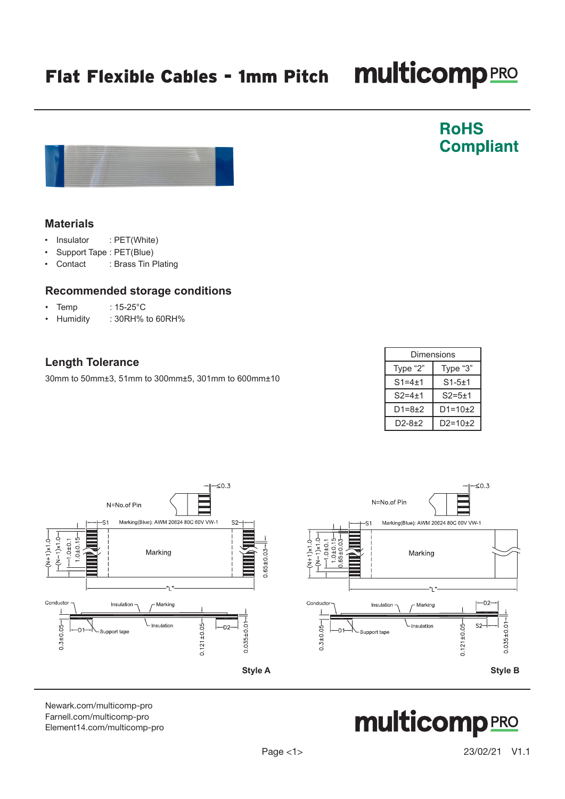#### Page <1> 23/02/21 V1.1

## Flat Flexible Cables - 1mm Pitch Multicomp PRO

#### **Materials**

- Insulator : PET(White)
- Support Tape : PET(Blue)
- Contact : Brass Tin Plating

#### **Recommended storage conditions**

- Temp : 15-25°C
- Humidity : 30RH% to 60RH%

### **Length Tolerance**

30mm to 50mm±3, 51mm to 300mm±5, 301mm to 600mm±10



[Newark.com/multicomp-](https://www.newark.com/multicomp-pro)pro [Farnell.com/multicomp](https://www.farnell.com/multicomp-pro)-pro [Element14.com/multicomp-pro](https://element14.com/multicomp-pro)



**RoHS** 

**Compliant** 

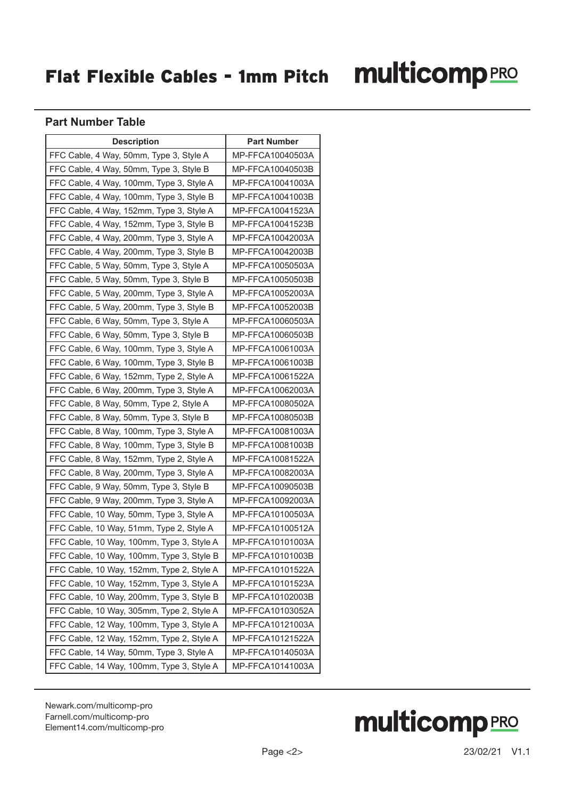### Flat Flexible Cables - 1mm Pitch

# **multicomp**PRO

#### **Part Number Table**

| <b>Description</b>                        | <b>Part Number</b> |
|-------------------------------------------|--------------------|
| FFC Cable, 4 Way, 50mm, Type 3, Style A   | MP-FFCA10040503A   |
| FFC Cable, 4 Way, 50mm, Type 3, Style B   | MP-FFCA10040503B   |
| FFC Cable, 4 Way, 100mm, Type 3, Style A  | MP-FFCA10041003A   |
| FFC Cable, 4 Way, 100mm, Type 3, Style B  | MP-FFCA10041003B   |
| FFC Cable, 4 Way, 152mm, Type 3, Style A  | MP-FFCA10041523A   |
| FFC Cable, 4 Way, 152mm, Type 3, Style B  | MP-FFCA10041523B   |
| FFC Cable, 4 Way, 200mm, Type 3, Style A  | MP-FFCA10042003A   |
| FFC Cable, 4 Way, 200mm, Type 3, Style B  | MP-FFCA10042003B   |
| FFC Cable, 5 Way, 50mm, Type 3, Style A   | MP-FFCA10050503A   |
| FFC Cable, 5 Way, 50mm, Type 3, Style B   | MP-FFCA10050503B   |
| FFC Cable, 5 Way, 200mm, Type 3, Style A  | MP-FFCA10052003A   |
| FFC Cable, 5 Way, 200mm, Type 3, Style B  | MP-FFCA10052003B   |
| FFC Cable, 6 Way, 50mm, Type 3, Style A   | MP-FFCA10060503A   |
| FFC Cable, 6 Way, 50mm, Type 3, Style B   | MP-FFCA10060503B   |
| FFC Cable, 6 Way, 100mm, Type 3, Style A  | MP-FFCA10061003A   |
| FFC Cable, 6 Way, 100mm, Type 3, Style B  | MP-FFCA10061003B   |
| FFC Cable, 6 Way, 152mm, Type 2, Style A  | MP-FFCA10061522A   |
| FFC Cable, 6 Way, 200mm, Type 3, Style A  | MP-FFCA10062003A   |
| FFC Cable, 8 Way, 50mm, Type 2, Style A   | MP-FFCA10080502A   |
| FFC Cable, 8 Way, 50mm, Type 3, Style B   | MP-FFCA10080503B   |
| FFC Cable, 8 Way, 100mm, Type 3, Style A  | MP-FFCA10081003A   |
| FFC Cable, 8 Way, 100mm, Type 3, Style B  | MP-FFCA10081003B   |
| FFC Cable, 8 Way, 152mm, Type 2, Style A  | MP-FFCA10081522A   |
| FFC Cable, 8 Way, 200mm, Type 3, Style A  | MP-FFCA10082003A   |
| FFC Cable, 9 Way, 50mm, Type 3, Style B   | MP-FFCA10090503B   |
| FFC Cable, 9 Way, 200mm, Type 3, Style A  | MP-FFCA10092003A   |
| FFC Cable, 10 Way, 50mm, Type 3, Style A  | MP-FFCA10100503A   |
| FFC Cable, 10 Way, 51mm, Type 2, Style A  | MP-FFCA10100512A   |
| FFC Cable, 10 Way, 100mm, Type 3, Style A | MP-FFCA10101003A   |
| FFC Cable, 10 Way, 100mm, Type 3, Style B | MP-FFCA10101003B   |
| FFC Cable, 10 Way, 152mm, Type 2, Style A | MP-FFCA10101522A   |
| FFC Cable, 10 Way, 152mm, Type 3, Style A | MP-FFCA10101523A   |
| FFC Cable, 10 Way, 200mm, Type 3, Style B | MP-FFCA10102003B   |
| FFC Cable, 10 Way, 305mm, Type 2, Style A | MP-FFCA10103052A   |
| FFC Cable, 12 Way, 100mm, Type 3, Style A | MP-FFCA10121003A   |
| FFC Cable, 12 Way, 152mm, Type 2, Style A | MP-FFCA10121522A   |
| FFC Cable, 14 Way, 50mm, Type 3, Style A  | MP-FFCA10140503A   |
| FFC Cable, 14 Way, 100mm, Type 3, Style A | MP-FFCA10141003A   |

[Newark.com/multicomp-](https://www.newark.com/multicomp-pro)pro [Farnell.com/multicomp](https://www.farnell.com/multicomp-pro)-pro [Element14.com/multicomp-pro](https://element14.com/multicomp-pro)